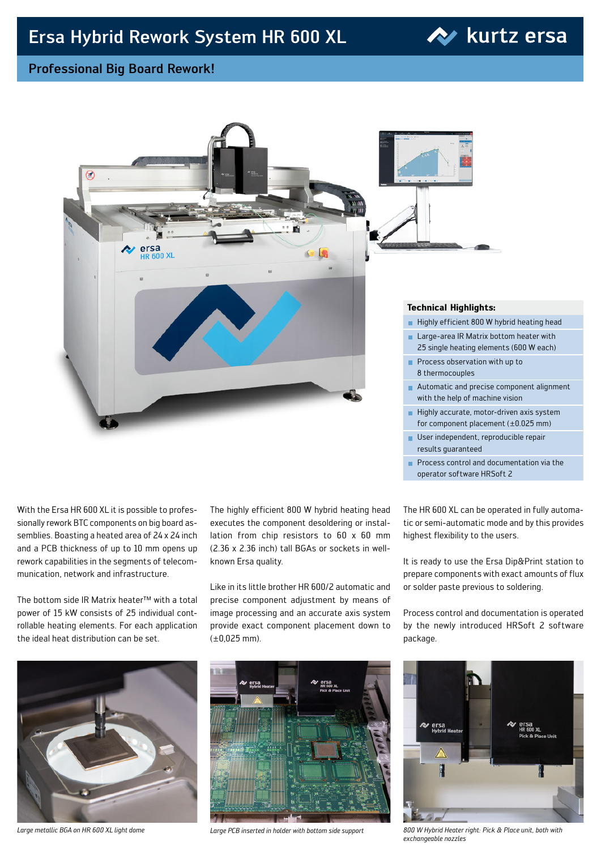# Ersa Hybrid Rework System HR 600 XL

# **A** kurtz ersa

## Professional Big Board Rework!



With the Ersa HR 600 XL it is possible to professionally rework BTC components on big board assemblies. Boasting a heated area of 24 x 24 inch and a PCB thickness of up to 10 mm opens up rework capabilities in the segments of telecommunication, network and infrastructure.

The bottom side IR Matrix heater™ with a total power of 15 kW consists of 25 individual controllable heating elements. For each application the ideal heat distribution can be set.



The highly efficient 800 W hybrid heating head executes the component desoldering or installation from chip resistors to 60 x 60 mm (2.36 x 2.36 inch) tall BGAs or sockets in wellknown Ersa quality.

Like in its little brother HR 600/2 automatic and precise component adjustment by means of image processing and an accurate axis system provide exact component placement down to  $(\pm 0.025 \text{ mm})$ .





### **Technical Highlights:**

- Highly efficient 800 W hybrid heating head
- **Large-area IR Matrix bottom heater with** 25 single heating elements (600 W each)
- Process observation with up to ÷. 8 thermocouples
- Automatic and precise component alignment with the help of machine vision
- Highly accurate, motor-driven axis system m. for component placement  $(\pm 0.025 \text{ mm})$
- **User independent, reproducible repair** results guaranteed
- Process control and documentation via the ÷ operator software HRSoft 2

The HR 600 XL can be operated in fully automatic or semi-automatic mode and by this provides highest flexibility to the users.

It is ready to use the Ersa Dip&Print station to prepare components with exact amounts of flux or solder paste previous to soldering.

Process control and documentation is operated by the newly introduced HRSoft 2 software package.



*Large metallic BGA on HR 600 XL light dome Large PCB inserted in holder with bottom side support 800 W Hybrid Heater right: Pick & Place unit, both with exchangeable nozzles*